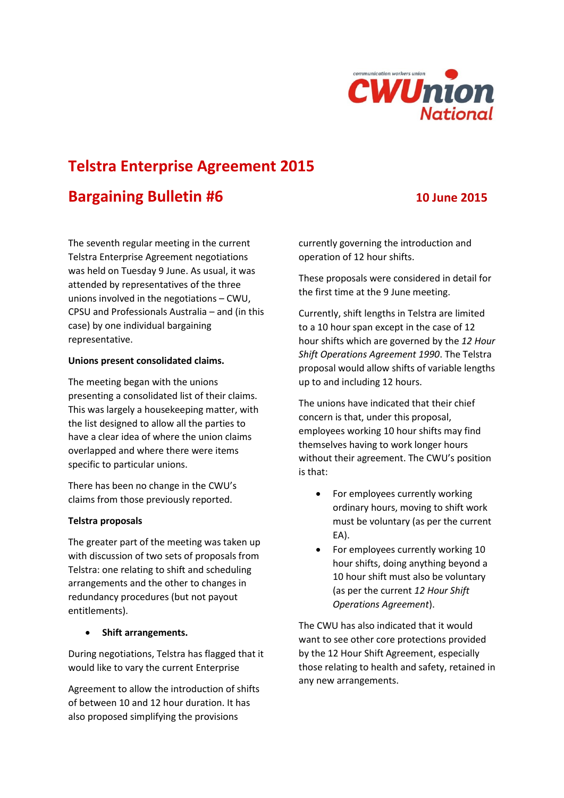

# **Telstra Enterprise Agreement 2015**

## **Bargaining Bulletin #6 10 June 2015**

The seventh regular meeting in the current Telstra Enterprise Agreement negotiations was held on Tuesday 9 June. As usual, it was attended by representatives of the three unions involved in the negotiations – CWU, CPSU and Professionals Australia – and (in this case) by one individual bargaining representative.

#### **Unions present consolidated claims.**

The meeting began with the unions presenting a consolidated list of their claims. This was largely a housekeeping matter, with the list designed to allow all the parties to have a clear idea of where the union claims overlapped and where there were items specific to particular unions.

There has been no change in the CWU's claims from those previously reported.

#### **Telstra proposals**

The greater part of the meeting was taken up with discussion of two sets of proposals from Telstra: one relating to shift and scheduling arrangements and the other to changes in redundancy procedures (but not payout entitlements).

#### **Shift arrangements.**

During negotiations, Telstra has flagged that it would like to vary the current Enterprise

Agreement to allow the introduction of shifts of between 10 and 12 hour duration. It has also proposed simplifying the provisions

currently governing the introduction and operation of 12 hour shifts.

These proposals were considered in detail for the first time at the 9 June meeting.

Currently, shift lengths in Telstra are limited to a 10 hour span except in the case of 12 hour shifts which are governed by the *12 Hour Shift Operations Agreement 1990*. The Telstra proposal would allow shifts of variable lengths up to and including 12 hours.

The unions have indicated that their chief concern is that, under this proposal, employees working 10 hour shifts may find themselves having to work longer hours without their agreement. The CWU's position is that:

- For employees currently working ordinary hours, moving to shift work must be voluntary (as per the current EA).
- For employees currently working 10 hour shifts, doing anything beyond a 10 hour shift must also be voluntary (as per the current *12 Hour Shift Operations Agreement*).

The CWU has also indicated that it would want to see other core protections provided by the 12 Hour Shift Agreement, especially those relating to health and safety, retained in any new arrangements.